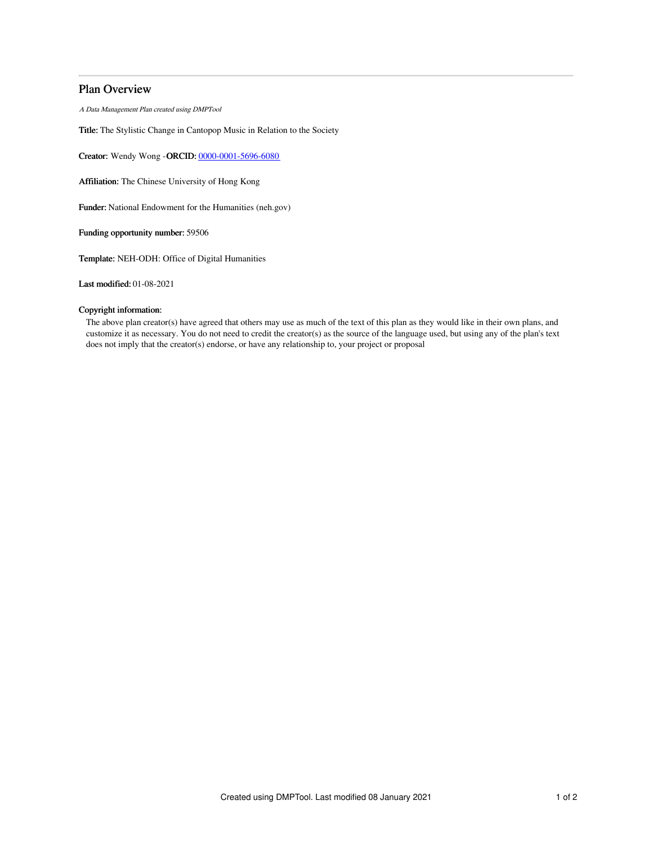# Plan Overview

A Data Management Plan created using DMPTool

Title: The Stylistic Change in Cantopop Music in Relation to the Society

Creator: Wendy Wong -ORCID: [0000-0001-5696-6080](https://orcid.org/0000-0001-5696-6080)

Affiliation: The Chinese University of Hong Kong

Funder: National Endowment for the Humanities (neh.gov)

Funding opportunity number: 59506

Template: NEH-ODH: Office of Digital Humanities

Last modified: 01-08-2021

## Copyright information:

The above plan creator(s) have agreed that others may use as much of the text of this plan as they would like in their own plans, and customize it as necessary. You do not need to credit the creator(s) as the source of the language used, but using any of the plan's text does not imply that the creator(s) endorse, or have any relationship to, your project or proposal